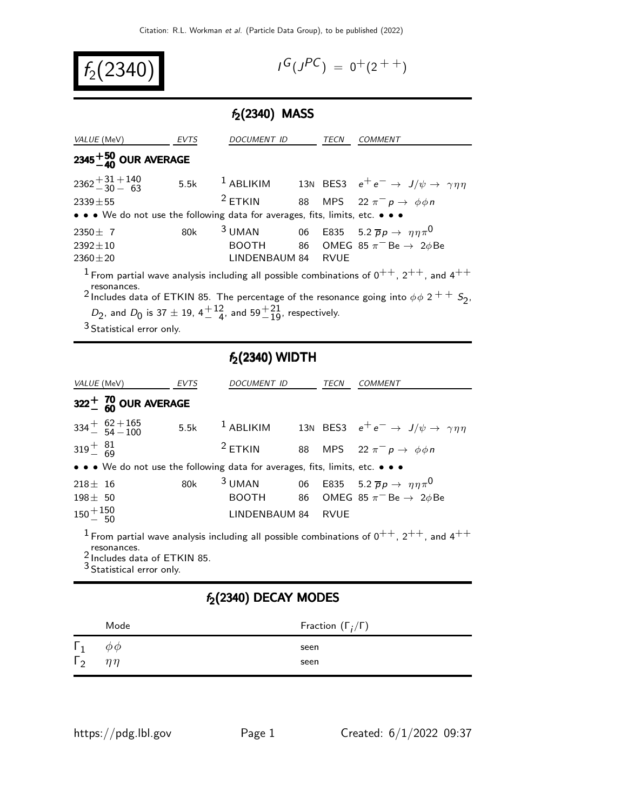| $f_2(2340)$ |  |
|-------------|--|
|-------------|--|

$$
I^G(J^{PC}) = 0^+(2^{++})
$$

### $f_2(2340)$  MASS

| COMMENT                                                                                                                                                                                                                                                                                                                                                               |  |  |  |  |  |
|-----------------------------------------------------------------------------------------------------------------------------------------------------------------------------------------------------------------------------------------------------------------------------------------------------------------------------------------------------------------------|--|--|--|--|--|
|                                                                                                                                                                                                                                                                                                                                                                       |  |  |  |  |  |
| 13N BES3 $e^+e^- \rightarrow J/\psi \rightarrow \gamma \eta \eta$                                                                                                                                                                                                                                                                                                     |  |  |  |  |  |
| 88 MPS 22 $\pi^- p \rightarrow \phi \phi n$                                                                                                                                                                                                                                                                                                                           |  |  |  |  |  |
| • • • We do not use the following data for averages, fits, limits, etc. • • •                                                                                                                                                                                                                                                                                         |  |  |  |  |  |
| <sup>3</sup> UMAN 06 E835 5.2 $\bar{p}p \to \eta \eta \pi^0$                                                                                                                                                                                                                                                                                                          |  |  |  |  |  |
| 86 OMEG 85 $\pi^-$ Be $\rightarrow$ 2 $\phi$ Be                                                                                                                                                                                                                                                                                                                       |  |  |  |  |  |
|                                                                                                                                                                                                                                                                                                                                                                       |  |  |  |  |  |
| <sup>1</sup> From partial wave analysis including all possible combinations of $0^{++}$ , $2^{++}$ , and $4^{++}$<br>resonances.<br><sup>2</sup> Includes data of ETKIN 85. The percentage of the resonance going into $\phi \phi$ 2 <sup>+ +</sup> S <sub>2</sub> ,<br>$D_2$ , and $D_0$ is 37 $\pm$ 19, 4 $\frac{+12}{4}$ , and 59 $\frac{+21}{10}$ , respectively. |  |  |  |  |  |
|                                                                                                                                                                                                                                                                                                                                                                       |  |  |  |  |  |

3 Statistical error only.

# $f_2(2340)$  WIDTH

| <i>VALUE</i> (MeV)                                                                                                                                                          |                                        | EVTS | <i>DOCUMENT ID</i> |  | TECN | <b>COMMENT</b>                                                                      |
|-----------------------------------------------------------------------------------------------------------------------------------------------------------------------------|----------------------------------------|------|--------------------|--|------|-------------------------------------------------------------------------------------|
|                                                                                                                                                                             | $322^{+}_{-}$ $^{70}_{60}$ OUR AVERAGE |      |                    |  |      |                                                                                     |
|                                                                                                                                                                             | $334 + 62 + 165$<br>$54 - 100$         |      |                    |  |      | 5.5k $^1$ ABLIKIM 13N BES3 $e^+e^- \rightarrow J/\psi \rightarrow \gamma \eta \eta$ |
| $319^{+}_{-}$ $^{81}_{69}$                                                                                                                                                  |                                        |      | $2$ ETKIN          |  |      | 88 MPS 22 $\pi^- p \rightarrow \phi \phi n$                                         |
| • • • We do not use the following data for averages, fits, limits, etc. • • •                                                                                               |                                        |      |                    |  |      |                                                                                     |
| $218 \pm 16$                                                                                                                                                                |                                        | 80k  |                    |  |      | 3 UMAN 06 E835 5.2 $\bar{p}p \to \eta \eta \pi^0$                                   |
| $198 \pm 50$                                                                                                                                                                |                                        |      |                    |  |      | BOOTH 86 OMEG 85 $\pi$ <sup>-</sup> Be $\rightarrow$ 2 $\phi$ Be                    |
| $150 + 150$                                                                                                                                                                 |                                        |      | LINDENBAUM 84 RVUE |  |      |                                                                                     |
| <sup>1</sup> From partial wave analysis including all possible combinations of $0^{++}$ , $2^{++}$ , and $4^{++}$<br>resonances.<br><sup>2</sup> Includes data of ETKIN 85. |                                        |      |                    |  |      |                                                                                     |

3 Statistical error only.

### $f_2(2340)$  DECAY MODES

|                          | Mode        | Fraction $(\Gamma_i/\Gamma)$ |
|--------------------------|-------------|------------------------------|
| $\Gamma_1$<br>$\Gamma_2$ | $\phi \phi$ | seen                         |
|                          | n n         | seen                         |